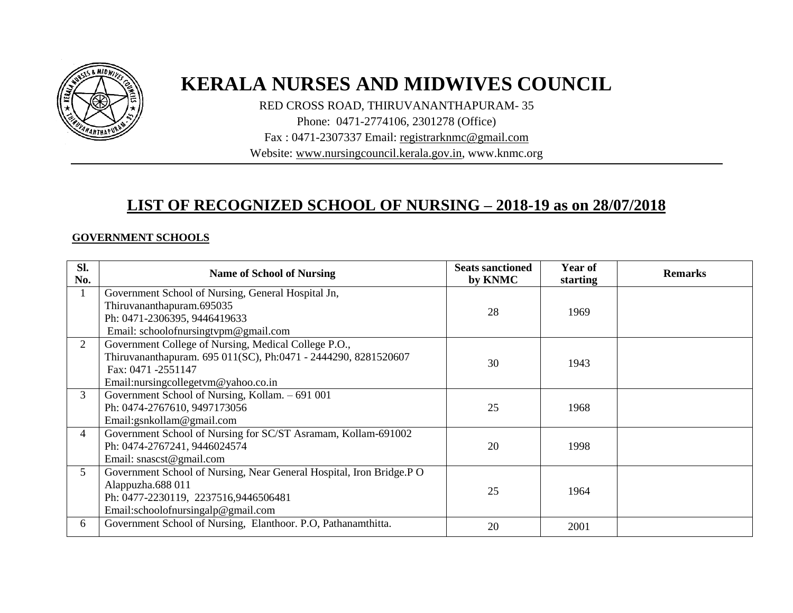

# **KERALA NURSES AND MIDWIVES COUNCIL**

RED CROSS ROAD, THIRUVANANTHAPURAM- 35

Phone: 0471-2774106, 2301278 (Office)

Fax : 0471-2307337 Email: [registrarknmc@gmail.com](mailto:registrarknmc@gmail.com)

Website: [www.nursingcouncil.kerala.gov.in,](http://www.keralanursingcouncil.org/) www.knmc.org

## **LIST OF RECOGNIZED SCHOOL OF NURSING – 2018-19 as on 28/07/2018**

#### **GOVERNMENT SCHOOLS**

| Sl.<br>No.     | <b>Name of School of Nursing</b>                                                                                                                                                    | <b>Seats sanctioned</b><br>by KNMC | Year of<br>starting | <b>Remarks</b> |
|----------------|-------------------------------------------------------------------------------------------------------------------------------------------------------------------------------------|------------------------------------|---------------------|----------------|
|                | Government School of Nursing, General Hospital Jn,<br>Thiruvananthapuram.695035<br>Ph: 0471-2306395, 9446419633<br>Email: schoolofnursingtypm@gmail.com                             | 28                                 | 1969                |                |
| $\overline{2}$ | Government College of Nursing, Medical College P.O.,<br>Thiruvananthapuram. 695 011(SC), Ph:0471 - 2444290, 8281520607<br>Fax: 0471 -2551147<br>Email:nursingcollegetvm@yahoo.co.in | 30                                 | 1943                |                |
| 3              | Government School of Nursing, Kollam. - 691 001<br>Ph: 0474-2767610, 9497173056<br>Email:gsnkollam@gmail.com                                                                        | 25                                 | 1968                |                |
| 4              | Government School of Nursing for SC/ST Asramam, Kollam-691002<br>Ph: 0474-2767241, 9446024574<br>Email: snascst@gmail.com                                                           | 20                                 | 1998                |                |
| 5 <sup>5</sup> | Government School of Nursing, Near General Hospital, Iron Bridge.P O<br>Alappuzha.688 011<br>Ph: 0477-2230119, 2237516,9446506481<br>Email:schoolofnursingalp@gmail.com             | 25                                 | 1964                |                |
| 6              | Government School of Nursing, Elanthoor. P.O, Pathanamthitta.                                                                                                                       | 20                                 | 2001                |                |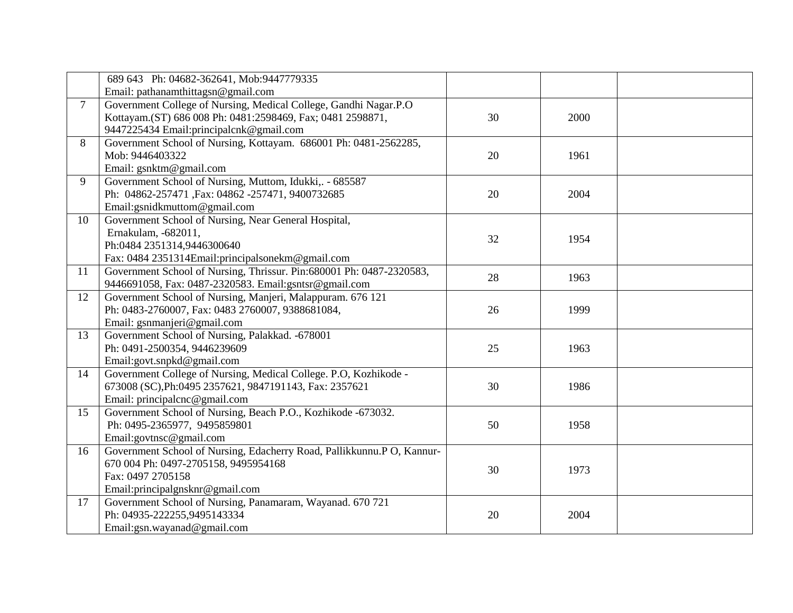|        | 689 643 Ph: 04682-362641, Mob:9447779335                               |    |      |  |
|--------|------------------------------------------------------------------------|----|------|--|
|        | Email: pathanamthittagsn@gmail.com                                     |    |      |  |
| $\tau$ | Government College of Nursing, Medical College, Gandhi Nagar.P.O       |    |      |  |
|        | Kottayam.(ST) 686 008 Ph: 0481:2598469, Fax; 0481 2598871,             | 30 | 2000 |  |
|        | 9447225434 Email: principalcnk@gmail.com                               |    |      |  |
| 8      | Government School of Nursing, Kottayam. 686001 Ph: 0481-2562285,       |    |      |  |
|        | Mob: 9446403322                                                        | 20 | 1961 |  |
|        | Email: gsnktm@gmail.com                                                |    |      |  |
| 9      | Government School of Nursing, Muttom, Idukki,. - 685587                |    |      |  |
|        | Ph: 04862-257471, Fax: 04862-257471, 9400732685                        | 20 | 2004 |  |
|        | Email:gsnidkmuttom@gmail.com                                           |    |      |  |
| 10     | Government School of Nursing, Near General Hospital,                   |    |      |  |
|        | Ernakulam, -682011,                                                    | 32 | 1954 |  |
|        | Ph:0484 2351314,9446300640                                             |    |      |  |
|        | Fax: 0484 2351314Email:principalsonekm@gmail.com                       |    |      |  |
| 11     | Government School of Nursing, Thrissur. Pin: 680001 Ph: 0487-2320583,  | 28 | 1963 |  |
|        | 9446691058, Fax: 0487-2320583. Email:gsntsr@gmail.com                  |    |      |  |
| 12     | Government School of Nursing, Manjeri, Malappuram. 676 121             |    |      |  |
|        | Ph: 0483-2760007, Fax: 0483 2760007, 9388681084,                       | 26 | 1999 |  |
|        | Email: gsnmanjeri@gmail.com                                            |    |      |  |
| 13     | Government School of Nursing, Palakkad. -678001                        |    |      |  |
|        | Ph: 0491-2500354, 9446239609                                           | 25 | 1963 |  |
|        | Email:govt.snpkd@gmail.com                                             |    |      |  |
| 14     | Government College of Nursing, Medical College. P.O, Kozhikode -       |    |      |  |
|        | 673008 (SC), Ph: 0495 2357621, 9847191143, Fax: 2357621                | 30 | 1986 |  |
|        | Email: principalcnc@gmail.com                                          |    |      |  |
| 15     | Government School of Nursing, Beach P.O., Kozhikode -673032.           |    |      |  |
|        | Ph: 0495-2365977, 9495859801                                           | 50 | 1958 |  |
|        | Email:govtnsc@gmail.com                                                |    |      |  |
| 16     | Government School of Nursing, Edacherry Road, Pallikkunnu.P O, Kannur- |    |      |  |
|        | 670 004 Ph: 0497-2705158, 9495954168                                   | 30 | 1973 |  |
|        | Fax: 0497 2705158                                                      |    |      |  |
|        | Email:principalgnsknr@gmail.com                                        |    |      |  |
| 17     | Government School of Nursing, Panamaram, Wayanad. 670 721              |    |      |  |
|        | Ph: 04935-222255,9495143334                                            | 20 | 2004 |  |
|        | Email:gsn.wayanad@gmail.com                                            |    |      |  |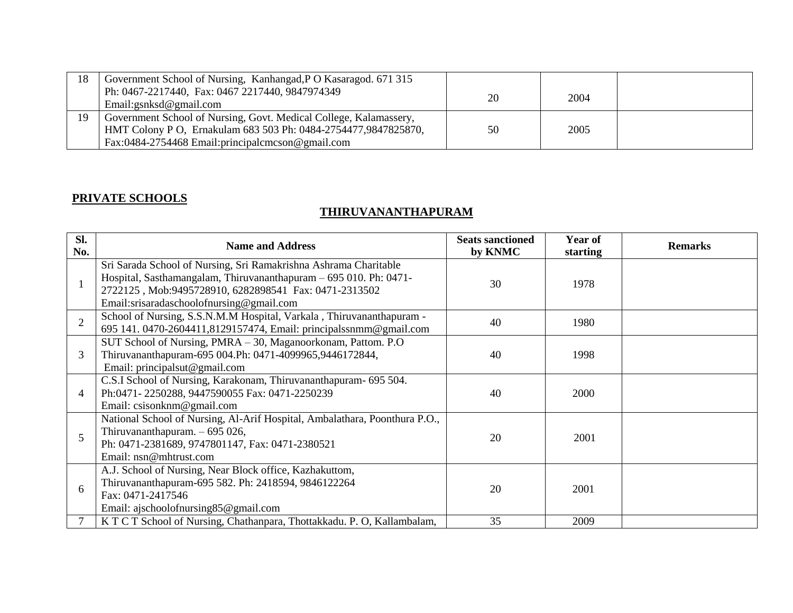| 18 | Government School of Nursing, Kanhangad, PO Kasaragod. 671 315<br>Ph: 0467-2217440, Fax: 0467 2217440, 9847974349<br>Email:gsnksd@gmail.com                                                | 20 | 2004 |  |
|----|--------------------------------------------------------------------------------------------------------------------------------------------------------------------------------------------|----|------|--|
| 19 | Government School of Nursing, Govt. Medical College, Kalamassery,<br>HMT Colony P O, Ernakulam 683 503 Ph: 0484-2754477,9847825870,<br>Fax:0484-2754468 Email: principal cmcson @gmail.com | 50 | 2005 |  |

### **PRIVATE SCHOOLS**

#### **THIRUVANANTHAPURAM**

| SI.<br>No.     | <b>Name and Address</b>                                                                                                                                                                                                                    | <b>Seats sanctioned</b><br>by KNMC | Year of<br>starting | <b>Remarks</b> |
|----------------|--------------------------------------------------------------------------------------------------------------------------------------------------------------------------------------------------------------------------------------------|------------------------------------|---------------------|----------------|
|                | Sri Sarada School of Nursing, Sri Ramakrishna Ashrama Charitable<br>Hospital, Sasthamangalam, Thiruvananthapuram - 695 010. Ph: 0471-<br>2722125, Mob:9495728910, 6282898541 Fax: 0471-2313502<br>Email:srisaradaschoolofnursing@gmail.com | 30                                 | 1978                |                |
| $\overline{2}$ | School of Nursing, S.S.N.M.M Hospital, Varkala, Thiruvananthapuram -<br>695 141. 0470-2604411,8129157474, Email: principalssnmm@gmail.com                                                                                                  | 40                                 | 1980                |                |
| 3              | SUT School of Nursing, PMRA - 30, Maganoorkonam, Pattom. P.O.<br>Thiruvananthapuram-695 004.Ph: 0471-4099965,9446172844,<br>Email: principalsut@gmail.com                                                                                  | 40                                 | 1998                |                |
| 4              | C.S.I School of Nursing, Karakonam, Thiruvananthapuram- 695 504.<br>Ph:0471-2250288, 9447590055 Fax: 0471-2250239<br>Email: csisonknm@gmail.com                                                                                            | 40                                 | 2000                |                |
| 5              | National School of Nursing, Al-Arif Hospital, Ambalathara, Poonthura P.O.,<br>Thiruvananthapuram. $-695026$ ,<br>Ph: 0471-2381689, 9747801147, Fax: 0471-2380521<br>Email: nsn@mhtrust.com                                                 | 20                                 | 2001                |                |
| 6              | A.J. School of Nursing, Near Block office, Kazhakuttom,<br>Thiruvananthapuram-695 582. Ph: 2418594, 9846122264<br>Fax: 0471-2417546<br>Email: ajschoolofnursing85@gmail.com                                                                | 20                                 | 2001                |                |
|                | K T C T School of Nursing, Chathanpara, Thottakkadu. P. O, Kallambalam,                                                                                                                                                                    | 35                                 | 2009                |                |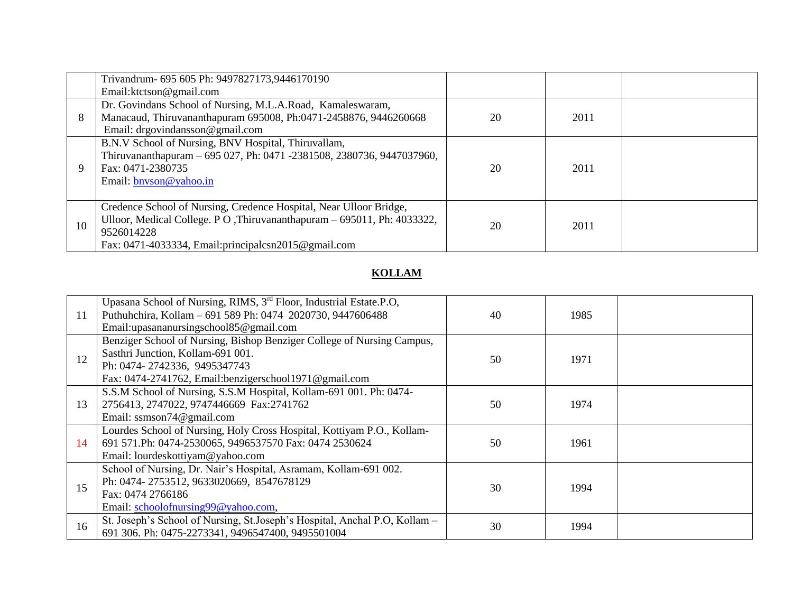|    | Trivandrum- 695 605 Ph: 9497827173,9446170190                                                                                                                                                                             |    |      |  |
|----|---------------------------------------------------------------------------------------------------------------------------------------------------------------------------------------------------------------------------|----|------|--|
|    | Email: ktctson@gmail.com                                                                                                                                                                                                  |    |      |  |
|    | Dr. Govindans School of Nursing, M.L.A.Road, Kamaleswaram,                                                                                                                                                                |    |      |  |
| 8  | Manacaud, Thiruvananthapuram 695008, Ph:0471-2458876, 9446260668<br>Email: drgovindansson@gmail.com                                                                                                                       | 20 | 2011 |  |
| 9  | B.N.V School of Nursing, BNV Hospital, Thiruvallam,<br>Thiruvananthapuram - 695 027, Ph: 0471 -2381508, 2380736, 9447037960,<br>Fax: 0471-2380735<br>Email: bnyson@yahoo.in                                               | 20 | 2011 |  |
| 10 | Credence School of Nursing, Credence Hospital, Near Ulloor Bridge,<br>Ulloor, Medical College. P O, Thiruvananthapuram – 695011, Ph: 4033322,<br>9526014228<br>Fax: $0471-4033334$ , Email:principalcsn $2015$ @gmail.com | 20 | 2011 |  |

## **KOLLAM**

| 11 | Upasana School of Nursing, RIMS, 3 <sup>rd</sup> Floor, Industrial Estate.P.O,<br>Puthuhchira, Kollam - 691 589 Ph: 0474 2020730, 9447606488<br>Email:upasananursingschool85@gmail.com               | 40 | 1985 |  |
|----|------------------------------------------------------------------------------------------------------------------------------------------------------------------------------------------------------|----|------|--|
| 12 | Benziger School of Nursing, Bishop Benziger College of Nursing Campus,<br>Sasthri Junction, Kollam-691 001.<br>Ph: 0474-2742336, 9495347743<br>Fax: 0474-2741762, Email:benzigerschool1971@gmail.com | 50 | 1971 |  |
| 13 | S.S.M School of Nursing, S.S.M Hospital, Kollam-691 001. Ph: 0474-<br>2756413, 2747022, 9747446669 Fax:2741762<br>Email: ssmson74@gmail.com                                                          | 50 | 1974 |  |
| 14 | Lourdes School of Nursing, Holy Cross Hospital, Kottiyam P.O., Kollam-<br>691 571.Ph: 0474-2530065, 9496537570 Fax: 0474 2530624<br>Email: lourdeskottiyam@yahoo.com                                 | 50 | 1961 |  |
| 15 | School of Nursing, Dr. Nair's Hospital, Asramam, Kollam-691 002.<br>Ph: 0474-2753512, 9633020669, 8547678129<br>Fax: 0474 2766186<br>Email: schoolofnursing99@yahoo.com,                             | 30 | 1994 |  |
| 16 | St. Joseph's School of Nursing, St.Joseph's Hospital, Anchal P.O, Kollam -<br>691 306. Ph: 0475-2273341, 9496547400, 9495501004                                                                      | 30 | 1994 |  |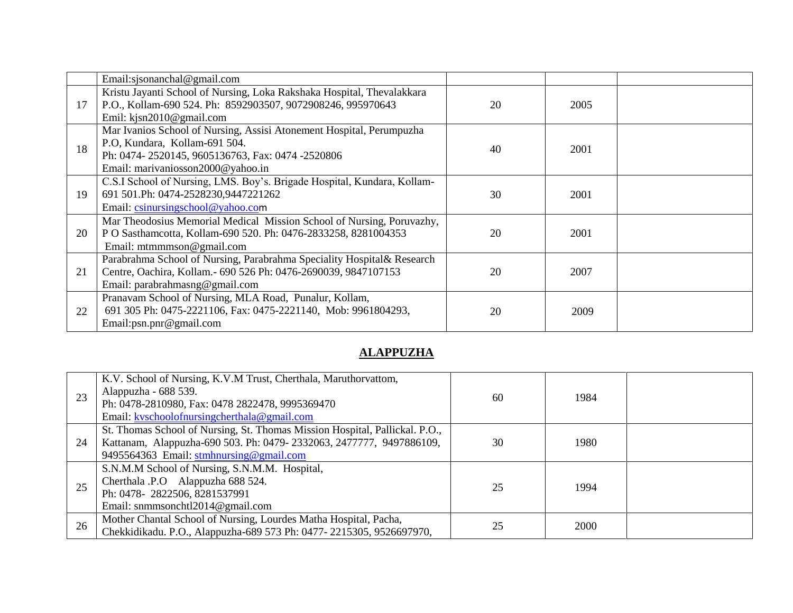|    | Email:sjsonanchal@gmail.com                                                                                                                                                                   |    |      |  |
|----|-----------------------------------------------------------------------------------------------------------------------------------------------------------------------------------------------|----|------|--|
| 17 | Kristu Jayanti School of Nursing, Loka Rakshaka Hospital, Thevalakkara<br>P.O., Kollam-690 524. Ph: 8592903507, 9072908246, 995970643<br>Emil: $k$ jsn2010@gmail.com                          | 20 | 2005 |  |
| 18 | Mar Ivanios School of Nursing, Assisi Atonement Hospital, Perumpuzha<br>P.O, Kundara, Kollam-691 504.<br>Ph: 0474-2520145, 9605136763, Fax: 0474-2520806<br>Email: marivaniosson2000@yahoo.in | 40 | 2001 |  |
| 19 | C.S.I School of Nursing, LMS. Boy's. Brigade Hospital, Kundara, Kollam-<br>691 501.Ph: 0474-2528230,9447221262<br>Email: csinursingschool@yahoo.com                                           | 30 | 2001 |  |
| 20 | Mar Theodosius Memorial Medical Mission School of Nursing, Poruvazhy,<br>P O Sasthamcotta, Kollam-690 520. Ph: 0476-2833258, 8281004353<br>Email: mtmmmson@gmail.com                          | 20 | 2001 |  |
| 21 | Parabrahma School of Nursing, Parabrahma Speciality Hospital& Research<br>Centre, Oachira, Kollam.- 690 526 Ph: 0476-2690039, 9847107153<br>Email: parabrahmasng@gmail.com                    | 20 | 2007 |  |
| 22 | Pranavam School of Nursing, MLA Road, Punalur, Kollam,<br>691 305 Ph: 0475-2221106, Fax: 0475-2221140, Mob: 9961804293,<br>Email:psn.pnr@gmail.com                                            | 20 | 2009 |  |

## **ALAPPUZHA**

| 23 | K.V. School of Nursing, K.V.M Trust, Cherthala, Maruthorvattom,<br>Alappuzha - 688 539.<br>Ph: 0478-2810980, Fax: 0478 2822478, 9995369470<br>Email: kyschoolofnursingcherthala@gmail.com     | 60 | 1984 |  |
|----|-----------------------------------------------------------------------------------------------------------------------------------------------------------------------------------------------|----|------|--|
| 24 | St. Thomas School of Nursing, St. Thomas Mission Hospital, Pallickal. P.O.,<br>Kattanam, Alappuzha-690 503. Ph: 0479-2332063, 2477777, 9497886109,<br>9495564363 Email: stmhnursing@gmail.com | 30 | 1980 |  |
| 25 | S.N.M.M School of Nursing, S.N.M.M. Hospital,<br>Cherthala .P.O Alappuzha 688 524.<br>Ph: 0478-2822506, 8281537991<br>Email: snmmsonchtl2014@gmail.com                                        | 25 | 1994 |  |
| 26 | Mother Chantal School of Nursing, Lourdes Matha Hospital, Pacha,<br>Chekkidikadu. P.O., Alappuzha-689 573 Ph: 0477-2215305, 9526697970,                                                       | 25 | 2000 |  |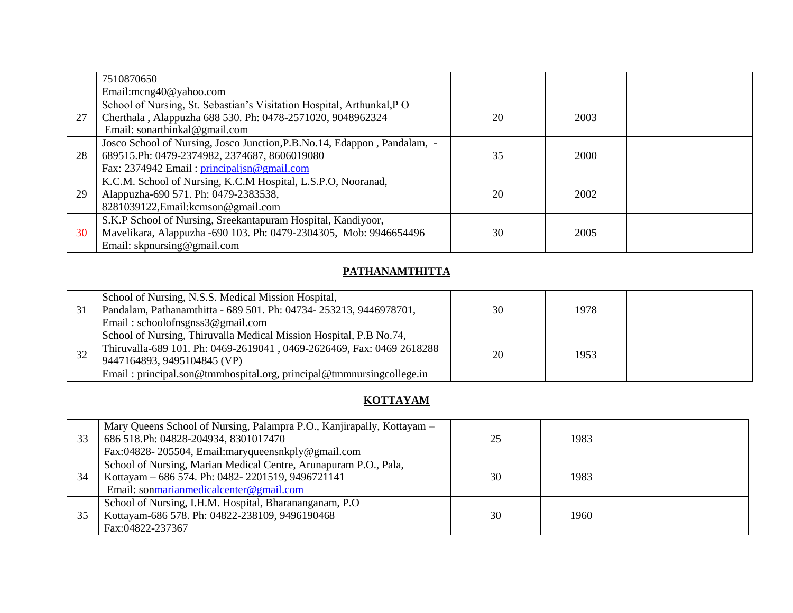|    | 7510870650                                                                 |    |      |  |
|----|----------------------------------------------------------------------------|----|------|--|
|    | Email:mcng40@yahoo.com                                                     |    |      |  |
|    | School of Nursing, St. Sebastian's Visitation Hospital, Arthunkal, PO      |    |      |  |
| 27 | Cherthala, Alappuzha 688 530. Ph: 0478-2571020, 9048962324                 | 20 | 2003 |  |
|    | Email: sonarthinkal@gmail.com                                              |    |      |  |
|    | Josco School of Nursing, Josco Junction, P.B. No. 14, Edappon, Pandalam, - |    |      |  |
| 28 | 689515.Ph: 0479-2374982, 2374687, 8606019080                               | 35 | 2000 |  |
|    | Fax: 2374942 Email: principalism@gmail.com                                 |    |      |  |
|    | K.C.M. School of Nursing, K.C.M Hospital, L.S.P.O, Nooranad,               |    |      |  |
| 29 | Alappuzha-690 571. Ph: 0479-2383538,                                       | 20 | 2002 |  |
|    | 8281039122, Email: kcmson@gmail.com                                        |    |      |  |
|    | S.K.P School of Nursing, Sreekantapuram Hospital, Kandiyoor,               |    |      |  |
| 30 | Mavelikara, Alappuzha -690 103. Ph: 0479-2304305, Mob: 9946654496          | 30 | 2005 |  |
|    | Email: skpnursing@gmail.com                                                |    |      |  |

#### **PATHANAMTHITTA**

| 31 | School of Nursing, N.S.S. Medical Mission Hospital,<br>Pandalam, Pathanamthitta - 689 501. Ph: 04734-253213, 9446978701,<br>Email: schoolofnsgnss $3@$ gmail.com                                                                                   | 30 | 1978 |  |
|----|----------------------------------------------------------------------------------------------------------------------------------------------------------------------------------------------------------------------------------------------------|----|------|--|
| 32 | School of Nursing, Thiruvalla Medical Mission Hospital, P.B No.74,<br>Thiruvalla-689 101. Ph: 0469-2619041, 0469-2626469, Fax: 0469 2618288<br>9447164893, 9495104845 (VP)<br>Email: principal.son@tmmhospital.org, principal@tmmnursingcollege.in | 20 | 1953 |  |

## **KOTTAYAM**

| 33 | Mary Queens School of Nursing, Palampra P.O., Kanjirapally, Kottayam –<br>686 518. Ph: 04828-204934, 8301017470<br>Fax:04828-205504, Email:maryqueensnkply@gmail.com | 25 | 1983 |  |
|----|----------------------------------------------------------------------------------------------------------------------------------------------------------------------|----|------|--|
| 34 | School of Nursing, Marian Medical Centre, Arunapuram P.O., Pala,<br>Kottayam – 686 574. Ph: 0482-2201519, 9496721141<br>Email: sonmarianmedicalcenter@gmail.com      | 30 | 1983 |  |
| 35 | School of Nursing, I.H.M. Hospital, Bharananganam, P.O.<br>Kottayam-686 578. Ph: 04822-238109, 9496190468<br>Fax:04822-237367                                        | 30 | 1960 |  |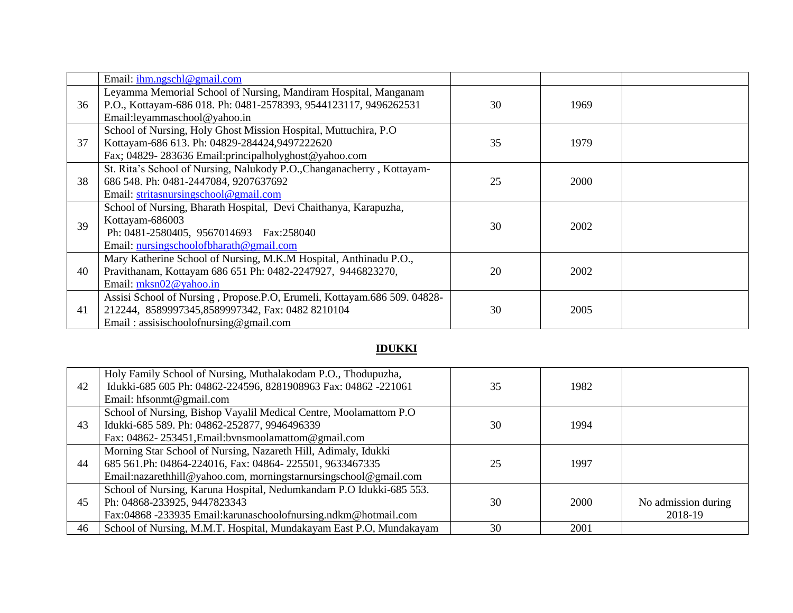|    | Email: $ihm.ngsch@gmail.com$                                                                                                        |    |      |  |
|----|-------------------------------------------------------------------------------------------------------------------------------------|----|------|--|
| 36 | Leyamma Memorial School of Nursing, Mandiram Hospital, Manganam<br>P.O., Kottayam-686 018. Ph: 0481-2578393, 9544123117, 9496262531 | 30 | 1969 |  |
|    | Email:leyammaschool@yahoo.in                                                                                                        |    |      |  |
|    | School of Nursing, Holy Ghost Mission Hospital, Muttuchira, P.O.                                                                    |    |      |  |
| 37 | Kottayam-686 613. Ph: 04829-284424,9497222620                                                                                       | 35 | 1979 |  |
|    | Fax; 04829-283636 Email: principalholyghost@yahoo.com                                                                               |    |      |  |
|    | St. Rita's School of Nursing, Nalukody P.O., Changanacherry, Kottayam-                                                              |    |      |  |
| 38 | 686 548. Ph: 0481-2447084, 9207637692                                                                                               | 25 | 2000 |  |
|    | Email: stritasnursingschool@gmail.com                                                                                               |    |      |  |
|    | School of Nursing, Bharath Hospital, Devi Chaithanya, Karapuzha,                                                                    |    |      |  |
| 39 | Kottayam-686003                                                                                                                     | 30 | 2002 |  |
|    | Ph: 0481-2580405, 9567014693 Fax:258040                                                                                             |    |      |  |
|    | Email: nursingschoolofbharath@gmail.com                                                                                             |    |      |  |
|    | Mary Katherine School of Nursing, M.K.M Hospital, Anthinadu P.O.,                                                                   |    |      |  |
| 40 | Pravithanam, Kottayam 686 651 Ph: 0482-2247927, 9446823270,                                                                         | 20 | 2002 |  |
|    | Email: mksn02@yahoo.in                                                                                                              |    |      |  |
|    | Assisi School of Nursing, Propose.P.O, Erumeli, Kottayam.686 509. 04828-                                                            |    |      |  |
| 41 | 212244, 8589997345,8589997342, Fax: 0482 8210104                                                                                    | 30 | 2005 |  |
|    | Email: assisischoolofnursing@gmail.com                                                                                              |    |      |  |

## **IDUKKI**

| 42 | Holy Family School of Nursing, Muthalakodam P.O., Thodupuzha,<br>Idukki-685 605 Ph: 04862-224596, 8281908963 Fax: 04862 -221061 | 35 | 1982 |                     |
|----|---------------------------------------------------------------------------------------------------------------------------------|----|------|---------------------|
|    | Email: hfsonmt@gmail.com                                                                                                        |    |      |                     |
|    | School of Nursing, Bishop Vayalil Medical Centre, Moolamattom P.O.                                                              |    |      |                     |
| 43 | Idukki-685 589. Ph: 04862-252877, 9946496339                                                                                    | 30 | 1994 |                     |
|    | Fax: 04862-253451, Email: bynsmoolamattom@gmail.com                                                                             |    |      |                     |
|    | Morning Star School of Nursing, Nazareth Hill, Adimaly, Idukki                                                                  |    |      |                     |
| 44 | 685 561.Ph: 04864-224016, Fax: 04864-225501, 9633467335                                                                         | 25 | 1997 |                     |
|    | Email:nazarethhill@yahoo.com, morningstarnursingschool@gmail.com                                                                |    |      |                     |
|    | School of Nursing, Karuna Hospital, Nedumkandam P.O Idukki-685 553.                                                             |    |      |                     |
| 45 | Ph: 04868-233925, 9447823343                                                                                                    | 30 | 2000 | No admission during |
|    | Fax:04868 -233935 Email:karunaschoolofnursing.ndkm@hotmail.com                                                                  |    |      | 2018-19             |
| 46 | School of Nursing, M.M.T. Hospital, Mundakayam East P.O, Mundakayam                                                             | 30 | 2001 |                     |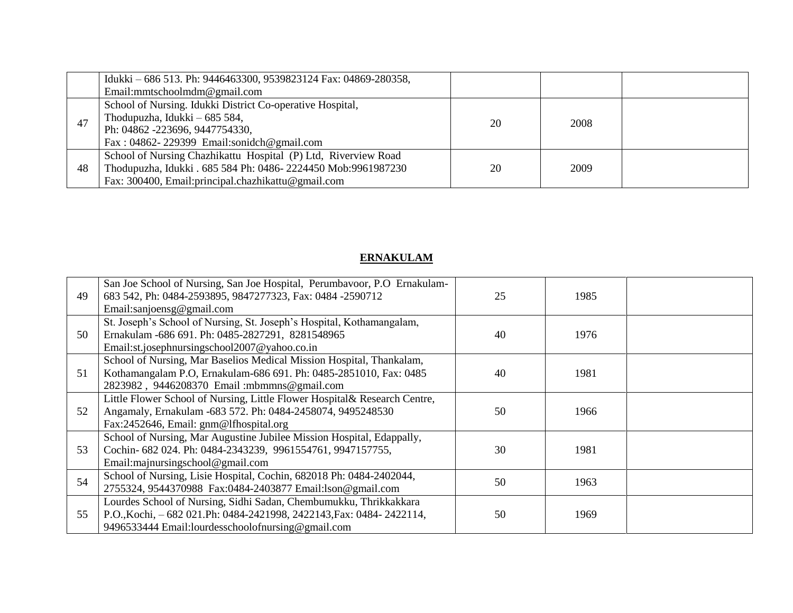|    | Idukki - 686 513. Ph: 9446463300, 9539823124 Fax: 04869-280358, |    |      |  |
|----|-----------------------------------------------------------------|----|------|--|
|    | Email:mmtschoolmdm@gmail.com                                    |    |      |  |
|    | School of Nursing. Idukki District Co-operative Hospital,       |    |      |  |
| 47 | Thodupuzha, Idukki – 685 584,                                   | 20 | 2008 |  |
|    | Ph: 04862 -223696, 9447754330,                                  |    |      |  |
|    | Fax: $04862 - 229399$ Email:sonidch@gmail.com                   |    |      |  |
|    | School of Nursing Chazhikattu Hospital (P) Ltd, Riverview Road  |    |      |  |
| 48 | Thodupuzha, Idukki . 685 584 Ph: 0486-2224450 Mob:9961987230    | 20 | 2009 |  |
|    | Fax: 300400, Email: principal.chazhikattu@gmail.com             |    |      |  |

## **ERNAKULAM**

| 49 | San Joe School of Nursing, San Joe Hospital, Perumbavoor, P.O Ernakulam-<br>683 542, Ph: 0484-2593895, 9847277323, Fax: 0484 -2590712<br>Email:sanjoensg@gmail.com                             | 25 | 1985 |  |
|----|------------------------------------------------------------------------------------------------------------------------------------------------------------------------------------------------|----|------|--|
| 50 | St. Joseph's School of Nursing, St. Joseph's Hospital, Kothamangalam,<br>Ernakulam -686 691. Ph: 0485-2827291, 8281548965<br>Email:st.josephnursingschool2007@yahoo.co.in                      | 40 | 1976 |  |
| 51 | School of Nursing, Mar Baselios Medical Mission Hospital, Thankalam,<br>Kothamangalam P.O, Ernakulam-686 691. Ph: 0485-2851010, Fax: 0485<br>2823982, 9446208370 Email: mbmmns@gmail.com       | 40 | 1981 |  |
| 52 | Little Flower School of Nursing, Little Flower Hospital& Research Centre,<br>Angamaly, Ernakulam -683 572. Ph: 0484-2458074, 9495248530<br>Fax:2452646, Email: gnm@lfhospital.org              | 50 | 1966 |  |
| 53 | School of Nursing, Mar Augustine Jubilee Mission Hospital, Edappally,<br>Cochin- 682 024. Ph: 0484-2343239, 9961554761, 9947157755,<br>Email: majnursingschool@gmail.com                       | 30 | 1981 |  |
| 54 | School of Nursing, Lisie Hospital, Cochin, 682018 Ph: 0484-2402044,<br>2755324, 9544370988 Fax:0484-2403877 Email:lson@gmail.com                                                               | 50 | 1963 |  |
| 55 | Lourdes School of Nursing, Sidhi Sadan, Chembumukku, Thrikkakkara<br>P.O., Kochi, -682 021. Ph: 0484-2421998, 2422143, Fax: 0484-2422114,<br>9496533444 Email:lourdesschoolofnursing@gmail.com | 50 | 1969 |  |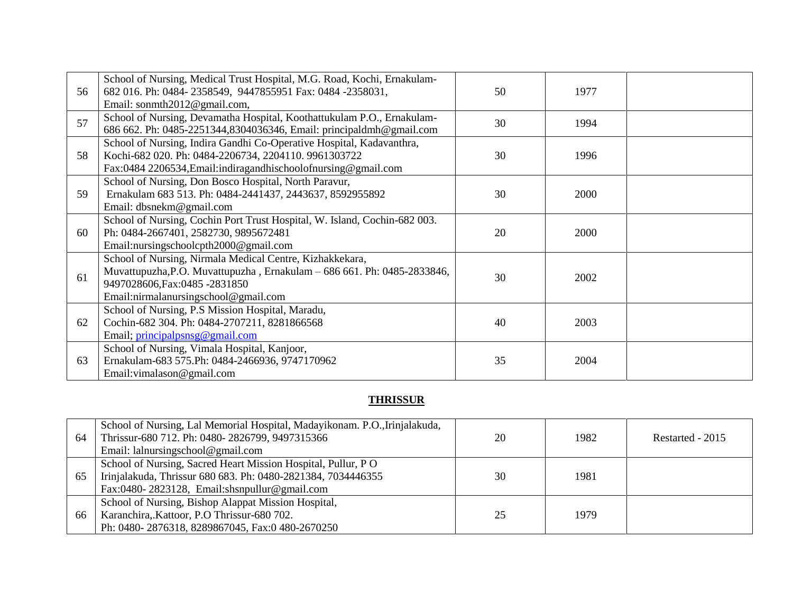|    | School of Nursing, Medical Trust Hospital, M.G. Road, Kochi, Ernakulam-   |    |      |  |
|----|---------------------------------------------------------------------------|----|------|--|
| 56 | 682 016. Ph: 0484-2358549, 9447855951 Fax: 0484 -2358031,                 | 50 | 1977 |  |
|    | Email: sonmth2012@gmail.com,                                              |    |      |  |
| 57 | School of Nursing, Devamatha Hospital, Koothattukulam P.O., Ernakulam-    | 30 | 1994 |  |
|    | 686 662. Ph: 0485-2251344,8304036346, Email: principaldmh@gmail.com       |    |      |  |
|    | School of Nursing, Indira Gandhi Co-Operative Hospital, Kadavanthra,      |    |      |  |
| 58 | Kochi-682 020. Ph: 0484-2206734, 2204110. 9961303722                      | 30 | 1996 |  |
|    | Fax:0484 2206534, Email: indiragand his chool of nursing @ gmail.com      |    |      |  |
|    | School of Nursing, Don Bosco Hospital, North Paravur,                     |    |      |  |
| 59 | Ernakulam 683 513. Ph: 0484-2441437, 2443637, 8592955892                  | 30 | 2000 |  |
|    | Email: dbsnekm@gmail.com                                                  |    |      |  |
|    | School of Nursing, Cochin Port Trust Hospital, W. Island, Cochin-682 003. |    |      |  |
| 60 | Ph: 0484-2667401, 2582730, 9895672481                                     | 20 | 2000 |  |
|    | Email:nursingschoolcpth2000@gmail.com                                     |    |      |  |
|    | School of Nursing, Nirmala Medical Centre, Kizhakkekara,                  |    |      |  |
| 61 | Muvattupuzha, P.O. Muvattupuzha, Ernakulam - 686 661. Ph: 0485-2833846,   | 30 | 2002 |  |
|    | 9497028606, Fax: 0485 - 2831850                                           |    |      |  |
|    | Email:nirmalanursingschool@gmail.com                                      |    |      |  |
|    | School of Nursing, P.S Mission Hospital, Maradu,                          |    |      |  |
| 62 | Cochin-682 304. Ph: 0484-2707211, 8281866568                              | 40 | 2003 |  |
|    | Email; principalpsnsg@gmail.com                                           |    |      |  |
|    | School of Nursing, Vimala Hospital, Kanjoor,                              |    |      |  |
| 63 | Ernakulam-683 575.Ph: 0484-2466936, 9747170962                            | 35 | 2004 |  |
|    | Email: vimalason@gmail.com                                                |    |      |  |

## **THRISSUR**

| 64 | School of Nursing, Lal Memorial Hospital, Madayikonam. P.O., Irinjalakuda,<br>Thrissur-680 712. Ph: 0480-2826799, 9497315366<br>Email: lalnursingschool@gmail.com            | 20 | 1982 | Restarted - 2015 |
|----|------------------------------------------------------------------------------------------------------------------------------------------------------------------------------|----|------|------------------|
| 65 | School of Nursing, Sacred Heart Mission Hospital, Pullur, PO<br>Irinjalakuda, Thrissur 680 683. Ph: 0480-2821384, 7034446355<br>Fax:0480-2823128, Email:shsnpullur@gmail.com | 30 | 1981 |                  |
| 66 | School of Nursing, Bishop Alappat Mission Hospital,<br>Karanchira, Kattoor, P.O Thrissur-680 702.<br>Ph: 0480-2876318, 8289867045, Fax:0 480-2670250                         | 25 | 1979 |                  |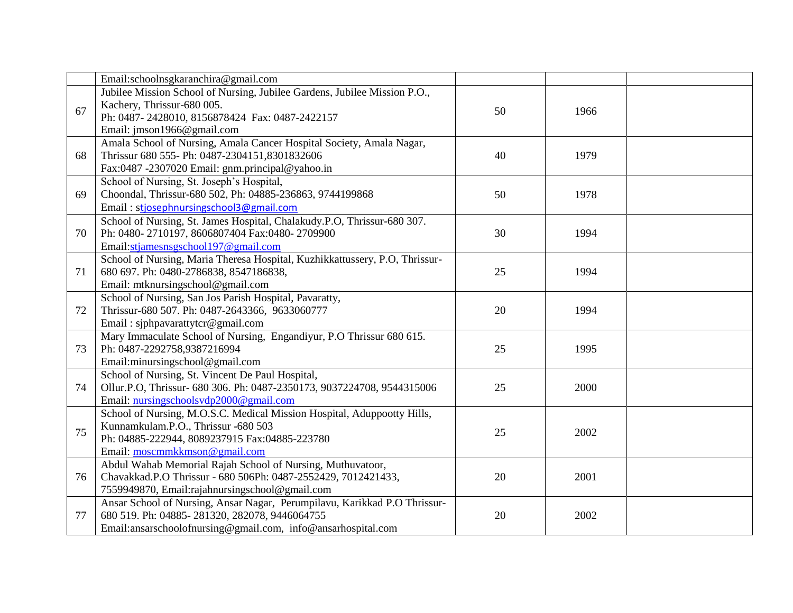|    | Email:schoolnsgkaranchira@gmail.com                                         |    |            |  |
|----|-----------------------------------------------------------------------------|----|------------|--|
|    | Jubilee Mission School of Nursing, Jubilee Gardens, Jubilee Mission P.O.,   |    |            |  |
| 67 | Kachery, Thrissur-680 005.                                                  | 50 | 1966       |  |
|    | Ph: 0487-2428010, 8156878424 Fax: 0487-2422157                              |    |            |  |
|    | Email: jmson1966@gmail.com                                                  |    |            |  |
|    | Amala School of Nursing, Amala Cancer Hospital Society, Amala Nagar,        |    |            |  |
| 68 | Thrissur 680 555- Ph: 0487-2304151,8301832606                               | 40 | 1979       |  |
|    | Fax:0487 -2307020 Email: gnm.principal@yahoo.in                             |    |            |  |
|    | School of Nursing, St. Joseph's Hospital,                                   |    |            |  |
| 69 | Choondal, Thrissur-680 502, Ph: 04885-236863, 9744199868                    | 50 | 1978       |  |
|    | Email: stjosephnursingschool3@gmail.com                                     |    |            |  |
|    | School of Nursing, St. James Hospital, Chalakudy.P.O, Thrissur-680 307.     |    |            |  |
| 70 | Ph: 0480-2710197, 8606807404 Fax:0480-2709900                               | 30 | 1994       |  |
|    | Email:stjamesnsgschool197@gmail.com                                         |    |            |  |
|    | School of Nursing, Maria Theresa Hospital, Kuzhikkattussery, P.O, Thrissur- |    |            |  |
| 71 | 680 697. Ph: 0480-2786838, 8547186838,                                      | 25 | 1994       |  |
|    | Email: mtknursingschool@gmail.com                                           |    |            |  |
|    | School of Nursing, San Jos Parish Hospital, Pavaratty,                      |    |            |  |
| 72 | Thrissur-680 507. Ph: 0487-2643366, 9633060777                              | 20 | 1994       |  |
|    | Email: sjphpavarattytcr@gmail.com                                           |    |            |  |
|    | Mary Immaculate School of Nursing, Engandiyur, P.O Thrissur 680 615.        |    |            |  |
| 73 | Ph: 0487-2292758,9387216994                                                 | 25 | 1995       |  |
|    | Email:minursingschool@gmail.com                                             |    |            |  |
|    | School of Nursing, St. Vincent De Paul Hospital,                            |    |            |  |
| 74 | Ollur.P.O, Thrissur- 680 306. Ph: 0487-2350173, 9037224708, 9544315006      | 25 | 2000       |  |
|    | Email: nursingschoolsvdp2000@gmail.com                                      |    |            |  |
|    | School of Nursing, M.O.S.C. Medical Mission Hospital, Aduppootty Hills,     |    |            |  |
| 75 | Kunnamkulam.P.O., Thrissur -680 503                                         | 25 | 2002       |  |
|    | Ph: 04885-222944, 8089237915 Fax:04885-223780                               |    |            |  |
|    | Email: moscmmkkmson@gmail.com                                               |    |            |  |
|    | Abdul Wahab Memorial Rajah School of Nursing, Muthuvatoor,                  |    |            |  |
| 76 | Chavakkad.P.O Thrissur - 680 506Ph: 0487-2552429, 7012421433,               |    | 20<br>2001 |  |
|    | 7559949870, Email:rajahnursingschool@gmail.com                              |    |            |  |
|    | Ansar School of Nursing, Ansar Nagar, Perumpilavu, Karikkad P.O Thrissur-   |    |            |  |
| 77 | 680 519. Ph: 04885-281320, 282078, 9446064755                               | 20 | 2002       |  |
|    | Email:ansarschoolofnursing@gmail.com, info@ansarhospital.com                |    |            |  |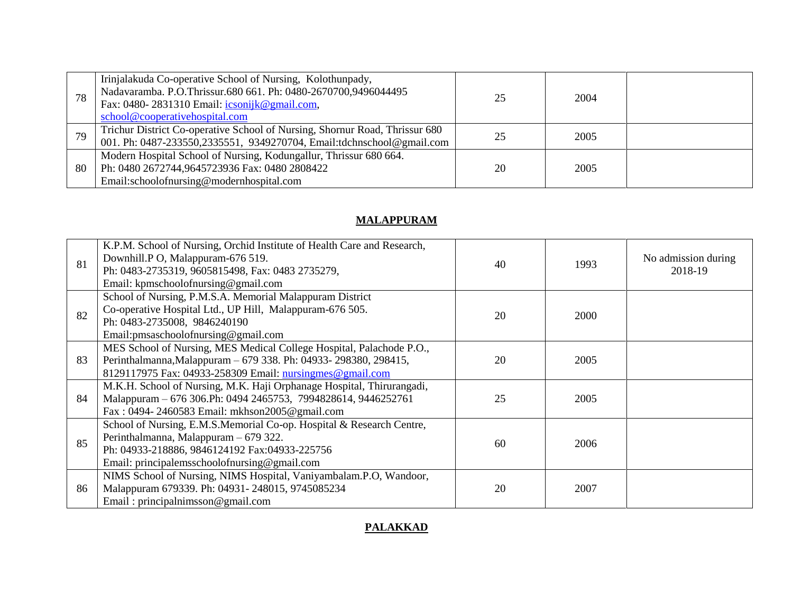| 78 | Irinjalakuda Co-operative School of Nursing, Kolothunpady,<br>Nadavaramba. P.O.Thrissur.680 661. Ph: 0480-2670700,9496044495<br>Fax: 0480-2831310 Email: icsonijk@gmail.com,<br>school@cooperativehospital.com | 25 | 2004 |  |
|----|----------------------------------------------------------------------------------------------------------------------------------------------------------------------------------------------------------------|----|------|--|
| 79 | Trichur District Co-operative School of Nursing, Shornur Road, Thrissur 680<br>001. Ph: 0487-233550,2335551, 9349270704, Email:tdchnschool@gmail.com                                                           |    | 2005 |  |
| 80 | Modern Hospital School of Nursing, Kodungallur, Thrissur 680 664.<br>Ph: 0480 2672744,9645723936 Fax: 0480 2808422<br>Email:schoolofnursing@modernhospital.com                                                 | 20 | 2005 |  |

## **MALAPPURAM**

| 81 | K.P.M. School of Nursing, Orchid Institute of Health Care and Research,<br>Downhill.P O, Malappuram-676 519.<br>Ph: 0483-2735319, 9605815498, Fax: 0483 2735279,<br>Email: kpmschoolofnursing@gmail.com        | 40 | 1993 | No admission during<br>2018-19 |
|----|----------------------------------------------------------------------------------------------------------------------------------------------------------------------------------------------------------------|----|------|--------------------------------|
| 82 | School of Nursing, P.M.S.A. Memorial Malappuram District<br>Co-operative Hospital Ltd., UP Hill, Malappuram-676 505.<br>Ph: 0483-2735008, 9846240190<br>Email: pmsaschoolof nursing @gmail.com                 | 20 | 2000 |                                |
| 83 | MES School of Nursing, MES Medical College Hospital, Palachode P.O.,<br>Perinthalmanna, Malappuram - 679 338. Ph: 04933-298380, 298415,<br>8129117975 Fax: 04933-258309 Email: nursingmes@gmail.com            | 20 | 2005 |                                |
| 84 | M.K.H. School of Nursing, M.K. Haji Orphanage Hospital, Thirurangadi,<br>Malappuram - 676 306.Ph: 0494 2465753, 7994828614, 9446252761<br>Fax: 0494-2460583 Email: mkhson2005@gmail.com                        | 25 | 2005 |                                |
| 85 | School of Nursing, E.M.S.Memorial Co-op. Hospital & Research Centre,<br>Perinthalmanna, Malappuram - 679 322.<br>Ph: 04933-218886, 9846124192 Fax:04933-225756<br>Email: principalemsschoolofnursing@gmail.com | 60 | 2006 |                                |
| 86 | NIMS School of Nursing, NIMS Hospital, Vaniyambalam.P.O, Wandoor,<br>Malappuram 679339. Ph: 04931-248015, 9745085234<br>Email: principalnimsson@gmail.com                                                      | 20 | 2007 |                                |

#### **PALAKKAD**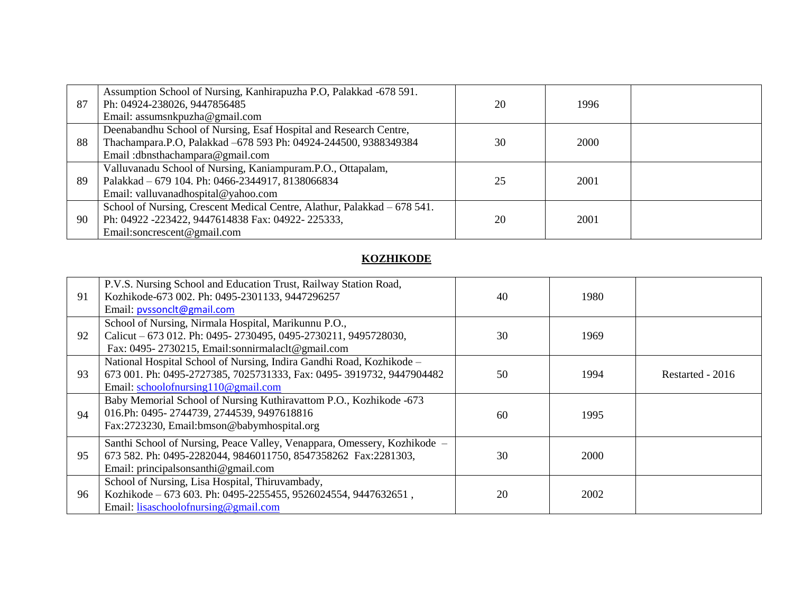| 87  | Assumption School of Nursing, Kanhirapuzha P.O, Palakkad -678 591.<br>Ph: 04924-238026, 9447856485 | 20 | 1996 |  |
|-----|----------------------------------------------------------------------------------------------------|----|------|--|
|     | Email: assumsnkpuzha@gmail.com                                                                     |    |      |  |
|     | Deenabandhu School of Nursing, Esaf Hospital and Research Centre,                                  |    |      |  |
| 88  | Thachampara.P.O, Palakkad -678 593 Ph: 04924-244500, 9388349384                                    | 30 | 2000 |  |
|     | Email: dbnsthachampara@gmail.com                                                                   |    |      |  |
|     | Valluvanadu School of Nursing, Kaniampuram.P.O., Ottapalam,                                        |    |      |  |
| -89 | Palakkad - 679 104. Ph: 0466-2344917, 8138066834                                                   | 25 | 2001 |  |
|     | Email: valluvanadhospital@yahoo.com                                                                |    |      |  |
|     | School of Nursing, Crescent Medical Centre, Alathur, Palakkad - 678 541.                           |    |      |  |
| 90  | Ph: 04922 -223422, 9447614838 Fax: 04922-225333,                                                   | 20 | 2001 |  |
|     | Email:soncrescent@gmail.com                                                                        |    |      |  |

## **KOZHIKODE**

| 91 | P.V.S. Nursing School and Education Trust, Railway Station Road,<br>Kozhikode-673 002. Ph: 0495-2301133, 9447296257<br>Email: pyssonclt@gmail.com                                   | 40 | 1980        |                  |
|----|-------------------------------------------------------------------------------------------------------------------------------------------------------------------------------------|----|-------------|------------------|
| 92 | School of Nursing, Nirmala Hospital, Marikunnu P.O.,<br>Calicut – 673 012. Ph: 0495-2730495, 0495-2730211, 9495728030,<br>Fax: 0495-2730215, Email:sonnirmalaclt@gmail.com          | 30 | 1969        |                  |
| 93 | National Hospital School of Nursing, Indira Gandhi Road, Kozhikode -<br>673 001. Ph: 0495-2727385, 7025731333, Fax: 0495-3919732, 9447904482<br>Email: schoolofnursing110@gmail.com | 50 | 1994        | Restarted - 2016 |
| 94 | Baby Memorial School of Nursing Kuthiravattom P.O., Kozhikode -673<br>016.Ph: 0495-2744739, 2744539, 9497618816<br>Fax:2723230, Email:bmson@babymhospital.org                       | 60 | 1995        |                  |
| 95 | Santhi School of Nursing, Peace Valley, Venappara, Omessery, Kozhikode -<br>673 582. Ph: 0495-2282044, 9846011750, 8547358262 Fax:2281303,<br>Email: principalsonsanthi@gmail.com   | 30 | <b>2000</b> |                  |
| 96 | School of Nursing, Lisa Hospital, Thiruvambady,<br>Kozhikode – 673 603. Ph: 0495-2255455, 9526024554, 9447632651,<br>Email: lisaschoolofnursing@gmail.com                           | 20 | 2002        |                  |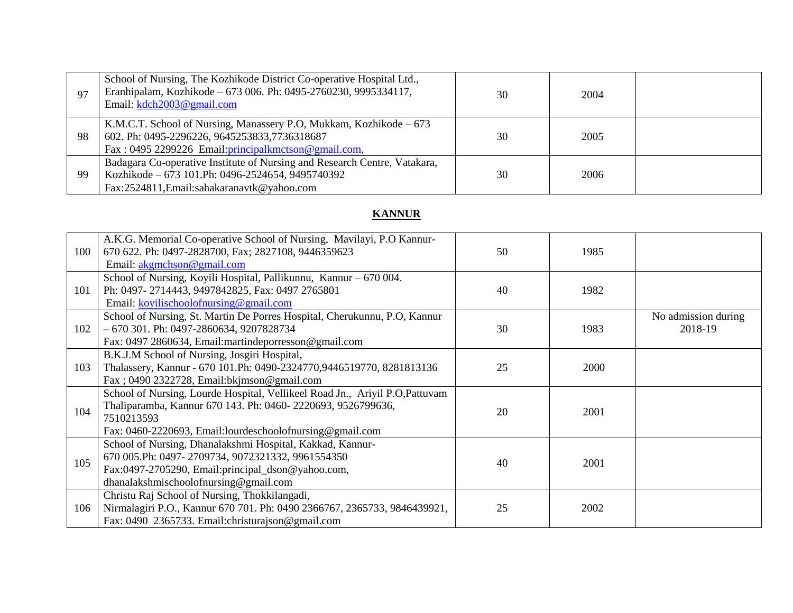| 97  | School of Nursing, The Kozhikode District Co-operative Hospital Ltd.,<br>Eranhipalam, Kozhikode – 673 006. Ph: 0495-2760230, 9995334117,<br>Email: kdch2003@gmail.com        | 30 | 2004 |  |
|-----|------------------------------------------------------------------------------------------------------------------------------------------------------------------------------|----|------|--|
| 98  | K.M.C.T. School of Nursing, Manassery P.O, Mukkam, Kozhikode – 673<br>602. Ph: 0495-2296226, 9645253833,7736318687<br>Fax: 0495 2299226 Email: principal kmctson @gmail.com, | 30 | 2005 |  |
| -99 | Badagara Co-operative Institute of Nursing and Research Centre, Vatakara,<br>Kozhikode – 673 101.Ph: 0496-2524654, 9495740392<br>Fax:2524811, Email: sahakaranavtk@yahoo.com | 30 | 2006 |  |

### **KANNUR**

| 100 | A.K.G. Memorial Co-operative School of Nursing, Mavilayi, P.O Kannur-<br>670 622. Ph: 0497-2828700, Fax; 2827108, 9446359623<br>Email: akgmchson@gmail.com                                                             | 50 | 1985 |                                |
|-----|------------------------------------------------------------------------------------------------------------------------------------------------------------------------------------------------------------------------|----|------|--------------------------------|
| 101 | School of Nursing, Koyili Hospital, Pallikunnu, Kannur – 670 004.<br>Ph: 0497-2714443, 9497842825, Fax: 0497 2765801<br>Email: koyilischoolofnursing@gmail.com                                                         | 40 | 1982 |                                |
| 102 | School of Nursing, St. Martin De Porres Hospital, Cherukunnu, P.O, Kannur<br>$-670$ 301. Ph: 0497-2860634, 9207828734<br>Fax: 0497 2860634, Email:martindeporresson@gmail.com                                          | 30 | 1983 | No admission during<br>2018-19 |
| 103 | B.K.J.M School of Nursing, Josgiri Hospital,<br>Thalassery, Kannur - 670 101. Ph: 0490-2324770, 9446519770, 8281813136<br>Fax; 0490 2322728, Email:bkjmson@gmail.com                                                   | 25 | 2000 |                                |
| 104 | School of Nursing, Lourde Hospital, Vellikeel Road Jn., Ariyil P.O, Pattuvam<br>Thaliparamba, Kannur 670 143. Ph: 0460-2220693, 9526799636,<br>7510213593<br>Fax: 0460-2220693, Email: lourdeschoolofnursing@gmail.com | 20 | 2001 |                                |
| 105 | School of Nursing, Dhanalakshmi Hospital, Kakkad, Kannur-<br>670 005.Ph: 0497-2709734, 9072321332, 9961554350<br>Fax:0497-2705290, Email:principal_dson@yahoo.com,<br>dhanalakshmischoolofnursing@gmail.com            | 40 | 2001 |                                |
| 106 | Christu Raj School of Nursing, Thokkilangadi,<br>Nirmalagiri P.O., Kannur 670 701. Ph: 0490 2366767, 2365733, 9846439921,<br>Fax: 0490 2365733. Email:christurajson@gmail.com                                          | 25 | 2002 |                                |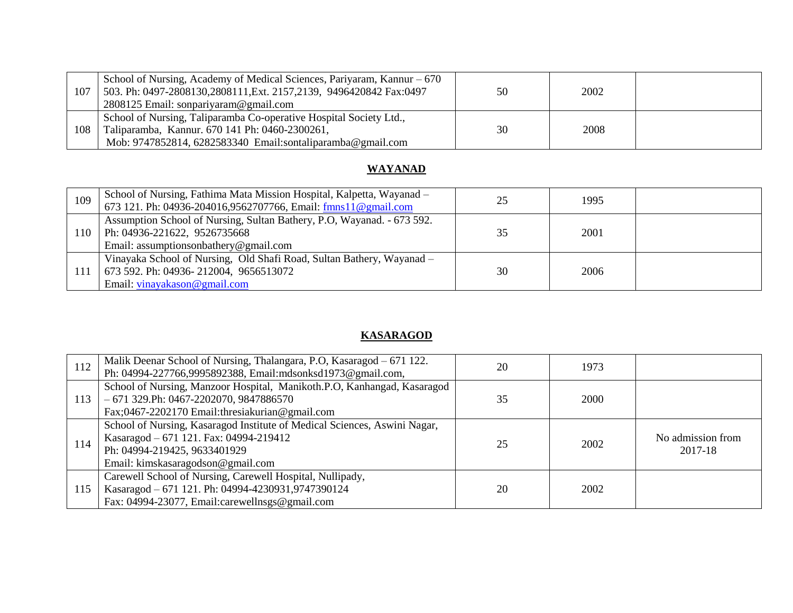| 107 | School of Nursing, Academy of Medical Sciences, Pariyaram, Kannur – 670<br>503. Ph: 0497-2808130,2808111, Ext. 2157, 2139, 9496420842 Fax: 0497<br>2808125 Email: sonpariyaram@gmail.com | 50 | 2002 |  |
|-----|------------------------------------------------------------------------------------------------------------------------------------------------------------------------------------------|----|------|--|
| 108 | School of Nursing, Taliparamba Co-operative Hospital Society Ltd.,<br>Taliparamba, Kannur. 670 141 Ph: 0460-2300261,<br>Mob: 9747852814, 6282583340 Email:sontaliparamba@gmail.com       | 30 | 2008 |  |

## **WAYANAD**

| 109 | School of Nursing, Fathima Mata Mission Hospital, Kalpetta, Wayanad –<br>673 121. Ph: 04936-204016,9562707766, Email: fmns11@gmail.com             | 25 | 1995 |  |
|-----|----------------------------------------------------------------------------------------------------------------------------------------------------|----|------|--|
| 110 | Assumption School of Nursing, Sultan Bathery, P.O. Wayanad. - 673 592.<br>Ph: 04936-221622, 9526735668<br>Email: assumptions on bathery @gmail.com | 35 | 2001 |  |
| 111 | Vinayaka School of Nursing, Old Shafi Road, Sultan Bathery, Wayanad -<br>673 592. Ph: 04936-212004, 9656513072<br>Email: vinayakason@gmail.com     | 30 | 2006 |  |

### **KASARAGOD**

| 112 | Malik Deenar School of Nursing, Thalangara, P.O., Kasaragod – 671 122.<br>Ph: 04994-227766,9995892388, Email:mdsonksd1973@gmail.com,                                                     | 20 | 1973 |                              |
|-----|------------------------------------------------------------------------------------------------------------------------------------------------------------------------------------------|----|------|------------------------------|
| 113 | School of Nursing, Manzoor Hospital, Manikoth.P.O, Kanhangad, Kasaragod<br>$-671$ 329. Ph: 0467-2202070, 9847886570<br>Fax;0467-2202170 Email:thresiakurian@gmail.com                    | 35 | 2000 |                              |
| 114 | School of Nursing, Kasaragod Institute of Medical Sciences, Aswini Nagar,<br>Kasaragod – 671 121. Fax: 04994-219412<br>Ph: 04994-219425, 9633401929<br>Email: kimskasaragodson@gmail.com | 25 | 2002 | No admission from<br>2017-18 |
| 115 | Carewell School of Nursing, Carewell Hospital, Nullipady,<br>Kasaragod - 671 121. Ph: 04994-4230931,9747390124<br>Fax: 04994-23077, Email:carewellnsgs@gmail.com                         | 20 | 2002 |                              |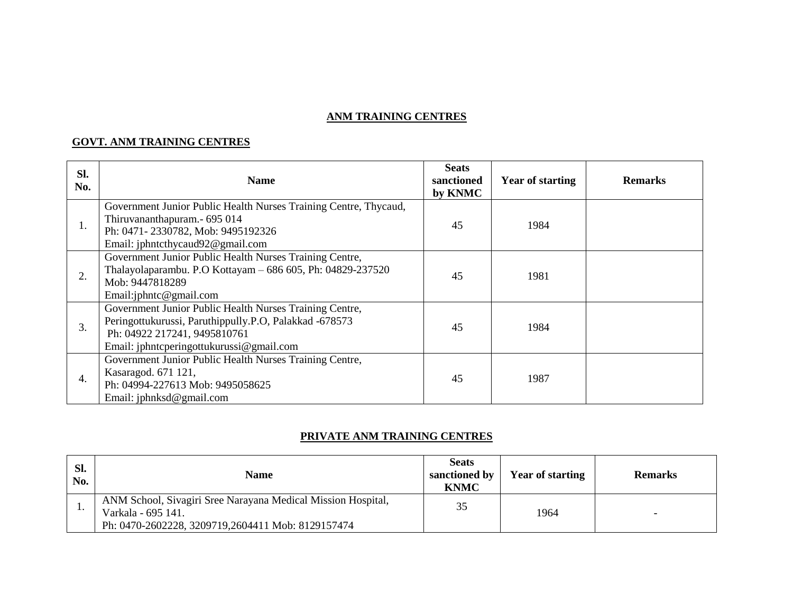#### **ANM TRAINING CENTRES**

#### **GOVT. ANM TRAINING CENTRES**

| Sl.<br>No. | <b>Name</b>                                                                                                                                                                                   | <b>Seats</b><br>sanctioned<br>by KNMC | <b>Year of starting</b> | <b>Remarks</b> |
|------------|-----------------------------------------------------------------------------------------------------------------------------------------------------------------------------------------------|---------------------------------------|-------------------------|----------------|
| ī.         | Government Junior Public Health Nurses Training Centre, Thycaud,<br>Thiruvananthapuram.- 695 014<br>Ph: 0471-2330782, Mob: 9495192326<br>Email: jphntcthycaud92@gmail.com                     | 45                                    | 1984                    |                |
| 2.         | Government Junior Public Health Nurses Training Centre,<br>Thalayolaparambu. P.O Kottayam - 686 605, Ph: 04829-237520<br>Mob: 9447818289<br>Email:jphntc@gmail.com                            | 45                                    | 1981                    |                |
| 3.         | Government Junior Public Health Nurses Training Centre,<br>Peringottukurussi, Paruthippully.P.O, Palakkad -678573<br>Ph: 04922 217241, 9495810761<br>Email: jphntcperingottukurussi@gmail.com | 45                                    | 1984                    |                |
| 4.         | Government Junior Public Health Nurses Training Centre,<br>Kasaragod. 671 121,<br>Ph: 04994-227613 Mob: 9495058625<br>Email: jphnksd@gmail.com                                                | 45                                    | 1987                    |                |

#### **PRIVATE ANM TRAINING CENTRES**

| Sl.<br>No. | <b>Name</b>                                                                                                                             | <b>Seats</b><br>sanctioned by<br><b>KNMC</b> | <b>Year of starting</b> | <b>Remarks</b> |
|------------|-----------------------------------------------------------------------------------------------------------------------------------------|----------------------------------------------|-------------------------|----------------|
| . .        | ANM School, Sivagiri Sree Narayana Medical Mission Hospital,<br>Varkala - 695 141.<br>Ph: 0470-2602228, 3209719,2604411 Mob: 8129157474 | 35                                           | 1964                    |                |